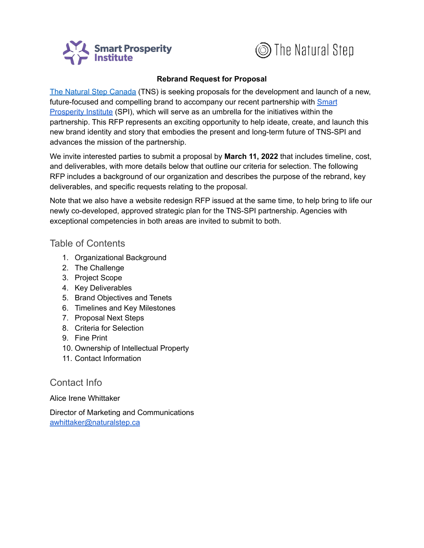



#### **Rebrand Request for Proposal**

The Natural Step [Canada](http://www.naturalstep.ca/) (TNS) is seeking proposals for the development and launch of a new, future-focused and compelling brand to accompany our recent partnership with [Smart](https://institute.smartprosperity.ca/) [Prosperity](https://institute.smartprosperity.ca/) Institute (SPI), which will serve as an umbrella for the initiatives within the partnership. This RFP represents an exciting opportunity to help ideate, create, and launch this new brand identity and story that embodies the present and long-term future of TNS-SPI and advances the mission of the partnership.

We invite interested parties to submit a proposal by **March 11, 2022** that includes timeline, cost, and deliverables, with more details below that outline our criteria for selection. The following RFP includes a background of our organization and describes the purpose of the rebrand, key deliverables, and specific requests relating to the proposal.

Note that we also have a website redesign RFP issued at the same time, to help bring to life our newly co-developed, approved strategic plan for the TNS-SPI partnership. Agencies with exceptional competencies in both areas are invited to submit to both.

### Table of Contents

- 1. Organizational Background
- 2. The Challenge
- 3. Project Scope
- 4. Key Deliverables
- 5. Brand Objectives and Tenets
- 6. Timelines and Key Milestones
- 7. Proposal Next Steps
- 8. Criteria for Selection
- 9. Fine Print
- 10. Ownership of Intellectual Property
- 11. Contact Information

## Contact Info

Alice Irene Whittaker

Director of Marketing and Communications [awhittaker@naturalstep.ca](mailto:awhittaker@naturalstep.ca)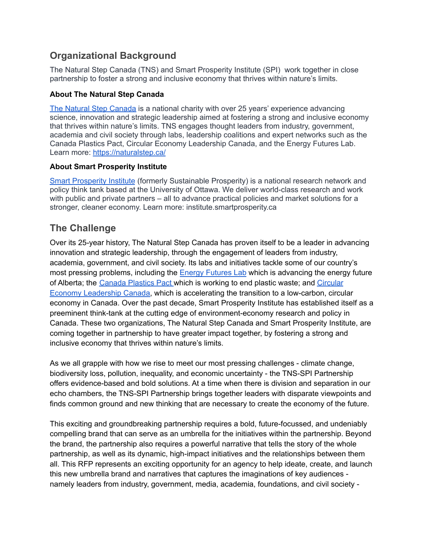## **Organizational Background**

The Natural Step Canada (TNS) and Smart Prosperity Institute (SPI) work together in close partnership to foster a strong and inclusive economy that thrives within nature's limits.

#### **About The Natural Step Canada**

The Natural Step [Canada](https://naturalstep.ca/) is a national charity with over 25 years' experience advancing science, innovation and strategic leadership aimed at fostering a strong and inclusive economy that thrives within nature's limits. TNS engages thought leaders from industry, government, academia and civil society through labs, leadership coalitions and expert networks such as the Canada Plastics Pact, Circular Economy Leadership Canada, and the Energy Futures Lab. Learn more: <https://naturalstep.ca/>

#### **About Smart Prosperity Institute**

Smart [Prosperity](https://institute.smartprosperity.ca/) Institute (formerly Sustainable Prosperity) is a national research network and policy think tank based at the University of Ottawa. We deliver world-class research and work with public and private partners – all to advance practical policies and market solutions for a stronger, cleaner economy. Learn more: [institute.smartprosperity.ca](http://institute.smartprosperity.ca/)

## **The Challenge**

Over its 25-year history, The Natural Step Canada has proven itself to be a leader in advancing innovation and strategic leadership, through the engagement of leaders from industry, academia, government, and civil society. Its labs and initiatives tackle some of our country's most pressing problems, including the Energy [Futures](https://energyfutureslab.com/) Lab which is advancing the energy future of Alberta; the [Canada](https://plasticspact.ca/) Plastics Pact which is working to end plastic waste; and [Circular](https://circulareconomyleaders.ca/) Economy [Leadership](https://circulareconomyleaders.ca/) Canada, which is accelerating the transition to a low-carbon, circular economy in Canada. Over the past decade, Smart Prosperity Institute has established itself as a preeminent think-tank at the cutting edge of environment-economy research and policy in Canada. These two organizations, The Natural Step Canada and Smart Prosperity Institute, are coming together in partnership to have greater impact together, by fostering a strong and inclusive economy that thrives within nature's limits.

As we all grapple with how we rise to meet our most pressing challenges - climate change, biodiversity loss, pollution, inequality, and economic uncertainty - the TNS-SPI Partnership offers evidence-based and bold solutions. At a time when there is division and separation in our echo chambers, the TNS-SPI Partnership brings together leaders with disparate viewpoints and finds common ground and new thinking that are necessary to create the economy of the future.

This exciting and groundbreaking partnership requires a bold, future-focussed, and undeniably compelling brand that can serve as an umbrella for the initiatives within the partnership. Beyond the brand, the partnership also requires a powerful narrative that tells the story of the whole partnership, as well as its dynamic, high-impact initiatives and the relationships between them all. This RFP represents an exciting opportunity for an agency to help ideate, create, and launch this new umbrella brand and narratives that captures the imaginations of key audiences namely leaders from industry, government, media, academia, foundations, and civil society -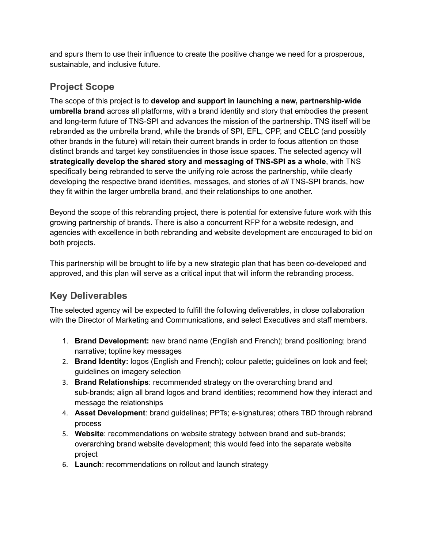and spurs them to use their influence to create the positive change we need for a prosperous, sustainable, and inclusive future.

# **Project Scope**

The scope of this project is to **develop and support in launching a new, partnership-wide umbrella brand** across all platforms, with a brand identity and story that embodies the present and long-term future of TNS-SPI and advances the mission of the partnership. TNS itself will be rebranded as the umbrella brand, while the brands of SPI, EFL, CPP, and CELC (and possibly other brands in the future) will retain their current brands in order to focus attention on those distinct brands and target key constituencies in those issue spaces. The selected agency will **strategically develop the shared story and messaging of TNS-SPI as a whole**, with TNS specifically being rebranded to serve the unifying role across the partnership, while clearly developing the respective brand identities, messages, and stories of *all* TNS-SPI brands, how they fit within the larger umbrella brand, and their relationships to one another.

Beyond the scope of this rebranding project, there is potential for extensive future work with this growing partnership of brands. There is also a concurrent RFP for a website redesign, and agencies with excellence in both rebranding and website development are encouraged to bid on both projects.

This partnership will be brought to life by a new strategic plan that has been co-developed and approved, and this plan will serve as a critical input that will inform the rebranding process.

# **Key Deliverables**

The selected agency will be expected to fulfill the following deliverables, in close collaboration with the Director of Marketing and Communications, and select Executives and staff members.

- 1. **Brand Development:** new brand name (English and French); brand positioning; brand narrative; topline key messages
- 2. **Brand Identity:** logos (English and French); colour palette; guidelines on look and feel; guidelines on imagery selection
- 3. **Brand Relationships**: recommended strategy on the overarching brand and sub-brands; align all brand logos and brand identities; recommend how they interact and message the relationships
- 4. **Asset Development**: brand guidelines; PPTs; e-signatures; others TBD through rebrand process
- 5. **Website**: recommendations on website strategy between brand and sub-brands; overarching brand website development; this would feed into the separate website project
- 6. **Launch**: recommendations on rollout and launch strategy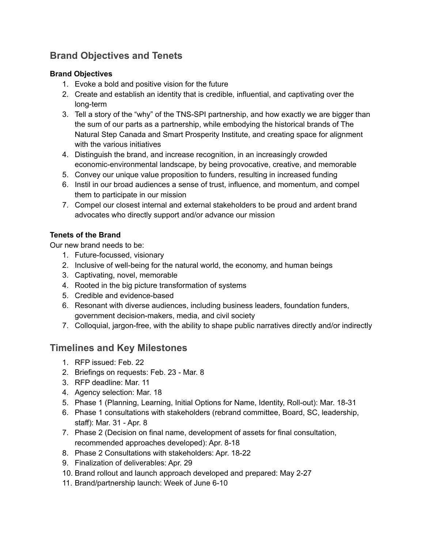# **Brand Objectives and Tenets**

#### **Brand Objectives**

- 1. Evoke a bold and positive vision for the future
- 2. Create and establish an identity that is credible, influential, and captivating over the long-term
- 3. Tell a story of the "why" of the TNS-SPI partnership, and how exactly we are bigger than the sum of our parts as a partnership, while embodying the historical brands of The Natural Step Canada and Smart Prosperity Institute, and creating space for alignment with the various initiatives
- 4. Distinguish the brand, and increase recognition, in an increasingly crowded economic-environmental landscape, by being provocative, creative, and memorable
- 5. Convey our unique value proposition to funders, resulting in increased funding
- 6. Instil in our broad audiences a sense of trust, influence, and momentum, and compel them to participate in our mission
- 7. Compel our closest internal and external stakeholders to be proud and ardent brand advocates who directly support and/or advance our mission

#### **Tenets of the Brand**

Our new brand needs to be:

- 1. Future-focussed, visionary
- 2. Inclusive of well-being for the natural world, the economy, and human beings
- 3. Captivating, novel, memorable
- 4. Rooted in the big picture transformation of systems
- 5. Credible and evidence-based
- 6. Resonant with diverse audiences, including business leaders, foundation funders, government decision-makers, media, and civil society
- 7. Colloquial, jargon-free, with the ability to shape public narratives directly and/or indirectly

## **Timelines and Key Milestones**

- 1. RFP issued: Feb. 22
- 2. Briefings on requests: Feb. 23 Mar. 8
- 3. RFP deadline: Mar. 11
- 4. Agency selection: Mar. 18
- 5. Phase 1 (Planning, Learning, Initial Options for Name, Identity, Roll-out): Mar. 18-31
- 6. Phase 1 consultations with stakeholders (rebrand committee, Board, SC, leadership, staff): Mar. 31 - Apr. 8
- 7. Phase 2 (Decision on final name, development of assets for final consultation, recommended approaches developed): Apr. 8-18
- 8. Phase 2 Consultations with stakeholders: Apr. 18-22
- 9. Finalization of deliverables: Apr. 29
- 10. Brand rollout and launch approach developed and prepared: May 2-27
- 11. Brand/partnership launch: Week of June 6-10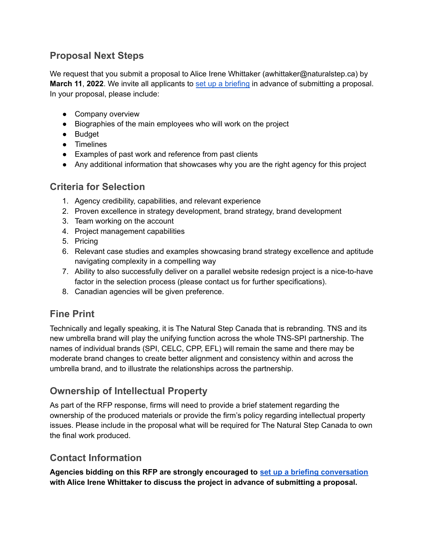## **Proposal Next Steps**

We request that you submit a proposal to Alice Irene Whittaker (awhittaker@naturalstep.ca) by **March 11**, **2022**. We invite all applicants to set up a [briefing](https://calendly.com/alice-irene-whittaker/rfp-2022) in advance of submitting a proposal. In your proposal, please include:

- Company overview
- Biographies of the main employees who will work on the project
- Budget
- Timelines
- Examples of past work and reference from past clients
- Any additional information that showcases why you are the right agency for this project

### **Criteria for Selection**

- 1. Agency credibility, capabilities, and relevant experience
- 2. Proven excellence in strategy development, brand strategy, brand development
- 3. Team working on the account
- 4. Project management capabilities
- 5. Pricing
- 6. Relevant case studies and examples showcasing brand strategy excellence and aptitude navigating complexity in a compelling way
- 7. Ability to also successfully deliver on a parallel website redesign project is a nice-to-have factor in the selection process (please contact us for further specifications).
- 8. Canadian agencies will be given preference.

## **Fine Print**

Technically and legally speaking, it is The Natural Step Canada that is rebranding. TNS and its new umbrella brand will play the unifying function across the whole TNS-SPI partnership. The names of individual brands (SPI, CELC, CPP, EFL) will remain the same and there may be moderate brand changes to create better alignment and consistency within and across the umbrella brand, and to illustrate the relationships across the partnership.

# **Ownership of Intellectual Property**

As part of the RFP response, firms will need to provide a brief statement regarding the ownership of the produced materials or provide the firm's policy regarding intellectual property issues. Please include in the proposal what will be required for The Natural Step Canada to own the final work produced.

### **Contact Information**

**Agencies bidding on this RFP are strongly encouraged to set up a briefing [conversation](https://calendly.com/alice-irene-whittaker/rfp-2022) with Alice Irene Whittaker to discuss the project in advance of submitting a proposal.**